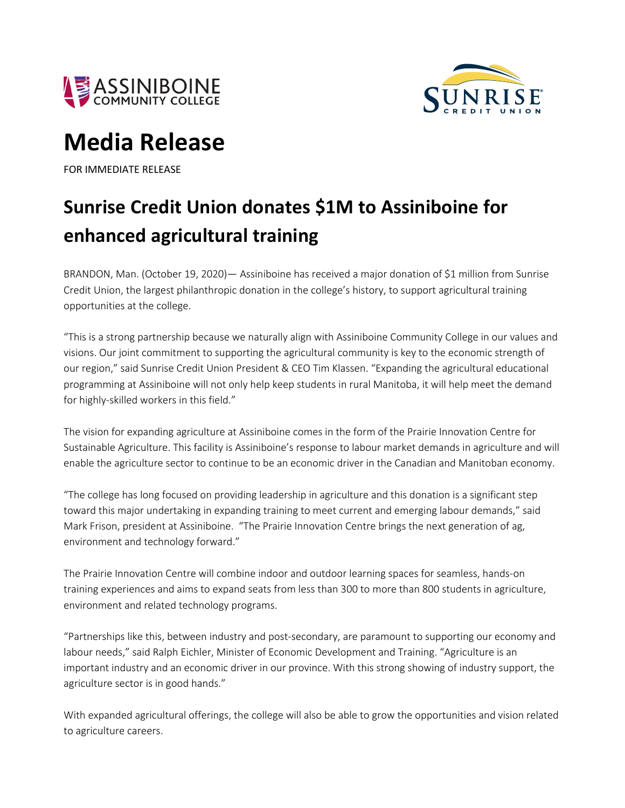



## **Media Release**

FOR IMMEDIATE RELEASE

## **Sunrise Credit Union donates \$1M to Assiniboine for enhanced agricultural training**

BRANDON, Man. (October 19, 2020)— Assiniboine has received a major donation of \$1 million from Sunrise Credit Union, the largest philanthropic donation in the college's history, to support agricultural training opportunities at the college.

"This is a strong partnership because we naturally align with Assiniboine Community College in our values and visions. Our joint commitment to supporting the agricultural community is key to the economic strength of our region," said Sunrise Credit Union President & CEO Tim Klassen. "Expanding the agricultural educational programming at Assiniboine will not only help keep students in rural Manitoba, it will help meet the demand for highly-skilled workers in this field."

The vision for expanding agriculture at Assiniboine comes in the form of the Prairie Innovation Centre for Sustainable Agriculture. This facility is Assiniboine's response to labour market demands in agriculture and will enable the agriculture sector to continue to be an economic driver in the Canadian and Manitoban economy.

"The college has long focused on providing leadership in agriculture and this donation is a significant step toward this major undertaking in expanding training to meet current and emerging labour demands," said Mark Frison, president at Assiniboine. "The Prairie Innovation Centre brings the next generation of ag, environment and technology forward."

The Prairie Innovation Centre will combine indoor and outdoor learning spaces for seamless, hands-on training experiences and aims to expand seats from less than 300 to more than 800 students in agriculture, environment and related technology programs.

"Partnerships like this, between industry and post-secondary, are paramount to supporting our economy and labour needs," said Ralph Eichler, Minister of Economic Development and Training. "Agriculture is an important industry and an economic driver in our province. With this strong showing of industry support, the agriculture sector is in good hands."

With expanded agricultural offerings, the college will also be able to grow the opportunities and vision related to agriculture careers.